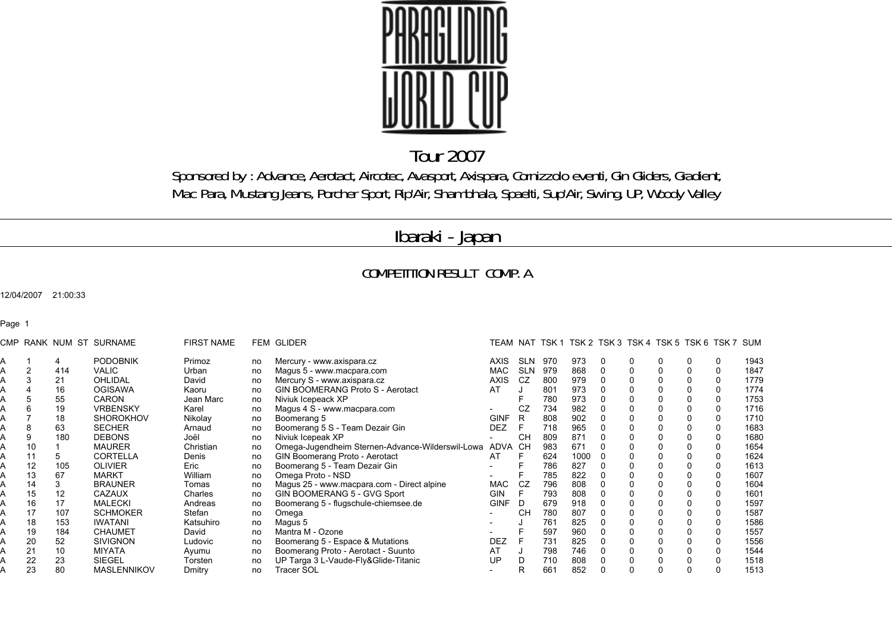

## Tour 2007

Sponsored by : Advance, Aerotact, Aircotec, Avasport, Axispara, Cornizzolo eventi, Gin Gliders, Gradient, Mac Para, Mustang Jeans, Porcher Sport, Rip'Air, Shambhala, Spaelti, Sup'Air, Swing, UP, Woody Valley

## Ibaraki - Japan

## COMPETITION RESULT COMP. A

12/04/2007 21:00:33

Page 1

| CMP |    |     | RANK NUM ST SURNAME | <b>FIRST NAME</b> |    | <b>FEM GLIDER</b>                                        |             |            |     |      |   | TEAM NAT TSK1 TSK2 TSK3 TSK4 TSK5 TSK6 TSK7 SUM |   |      |
|-----|----|-----|---------------------|-------------------|----|----------------------------------------------------------|-------------|------------|-----|------|---|-------------------------------------------------|---|------|
|     |    | 4   | <b>PODOBNIK</b>     | Primoz            | no | Mercury - www.axispara.cz                                | <b>AXIS</b> | <b>SLN</b> | 970 | 973  | 0 | 0                                               | 0 | 1943 |
|     |    | 414 | VALIC               | Urban             | no | Magus 5 - www.macpara.com                                | <b>MAC</b>  | <b>SLN</b> | 979 | 868  |   | $\Omega$                                        | 0 | 1847 |
|     |    | 21  | <b>OHLIDAL</b>      | David             | no | Mercury S - www.axispara.cz                              | <b>AXIS</b> | CZ         | 800 | 979  |   |                                                 | 0 | 1779 |
|     |    | 16  | <b>OGISAWA</b>      | Kaoru             | no | GIN BOOMERANG Proto S - Aerotact                         | AT          |            | 801 | 973  |   |                                                 | 0 | 1774 |
|     |    | 55  | <b>CARON</b>        | Jean Marc         | no | Niviuk Icepeack XP                                       |             |            | 780 | 973  |   |                                                 | 0 | 1753 |
|     |    | 19  | <b>VRBENSKY</b>     | Karel             | no | Magus 4 S - www.macpara.com                              |             | CZ         | 734 | 982  |   |                                                 | 0 | 1716 |
|     |    | 18  | <b>SHOROKHOV</b>    | Nikolay           | no | Boomerang 5                                              | <b>GINF</b> | R          | 808 | 902  |   |                                                 | 0 | 1710 |
|     | 8  | 63  | <b>SECHER</b>       | Arnaud            | no | Boomerang 5 S - Team Dezair Gin                          | <b>DEZ</b>  |            | 718 | 965  |   |                                                 | 0 | 1683 |
|     |    | 180 | <b>DEBONS</b>       | Joël              | no | Niviuk Icepeak XP                                        |             | <b>CH</b>  | 809 | 871  |   |                                                 | 0 | 1680 |
|     | 10 |     | <b>MAURER</b>       | Christian         | no | Omega-Jugendheim Sternen-Advance-Wilderswil-Lowa ADVA CH |             |            | 983 | 671  |   |                                                 | 0 | 1654 |
|     | 11 | 5   | <b>CORTELLA</b>     | Denis             | no | GIN Boomerang Proto - Aerotact                           | AT          |            | 624 | 1000 |   |                                                 | 0 | 1624 |
|     | 12 | 105 | <b>OLIVIER</b>      | Eric              | no | Boomerang 5 - Team Dezair Gin                            |             |            | 786 | 827  |   |                                                 | 0 | 1613 |
|     | 13 | 67  | <b>MARKT</b>        | William           | no | Omega Proto - NSD                                        |             |            | 785 | 822  |   |                                                 | 0 | 1607 |
|     | 14 | 3   | <b>BRAUNER</b>      | Tomas             | no | Magus 25 - www.macpara.com - Direct alpine               | MAC         | CZ         | 796 | 808  |   |                                                 | 0 | 1604 |
|     | 15 | 12  | CAZAUX              | Charles           | no | GIN BOOMERANG 5 - GVG Sport                              | <b>GIN</b>  |            | 793 | 808  |   |                                                 | 0 | 1601 |
|     | 16 | 17  | <b>MALECKI</b>      | Andreas           | no | Boomerang 5 - flugschule-chiemsee.de                     | <b>GINF</b> | D          | 679 | 918  |   |                                                 | 0 | 1597 |
|     |    | 107 | <b>SCHMOKER</b>     | Stefan            | no | Omega                                                    |             | <b>CH</b>  | 780 | 807  |   |                                                 | 0 | 1587 |
|     | 18 | 153 | <b>IWATANI</b>      | Katsuhiro         | no | Magus 5                                                  |             |            | 761 | 825  |   |                                                 | 0 | 1586 |
|     | 19 | 184 | <b>CHAUMET</b>      | David             | no | Mantra M - Ozone                                         |             |            | 597 | 960  |   |                                                 | 0 | 1557 |
|     | 20 | 52  | <b>SIVIGNON</b>     | Ludovic           | no | Boomerang 5 - Espace & Mutations                         | <b>DEZ</b>  |            | 731 | 825  |   |                                                 | 0 | 1556 |
|     | 21 | 10  | <b>MIYATA</b>       | Ayumu             | no | Boomerang Proto - Aerotact - Suunto                      | AT          |            | 798 | 746  |   |                                                 | 0 | 1544 |
|     | 22 | 23  | SIEGEL              | Torsten           | no | UP Targa 3 L-Vaude-Fly&Glide-Titanic                     | UP          |            | 710 | 808  |   |                                                 |   | 1518 |
|     | 23 | 80  | <b>MASLENNIKOV</b>  | Dmitry            | no | <b>Tracer SOL</b>                                        |             |            | 661 | 852  |   |                                                 |   | 1513 |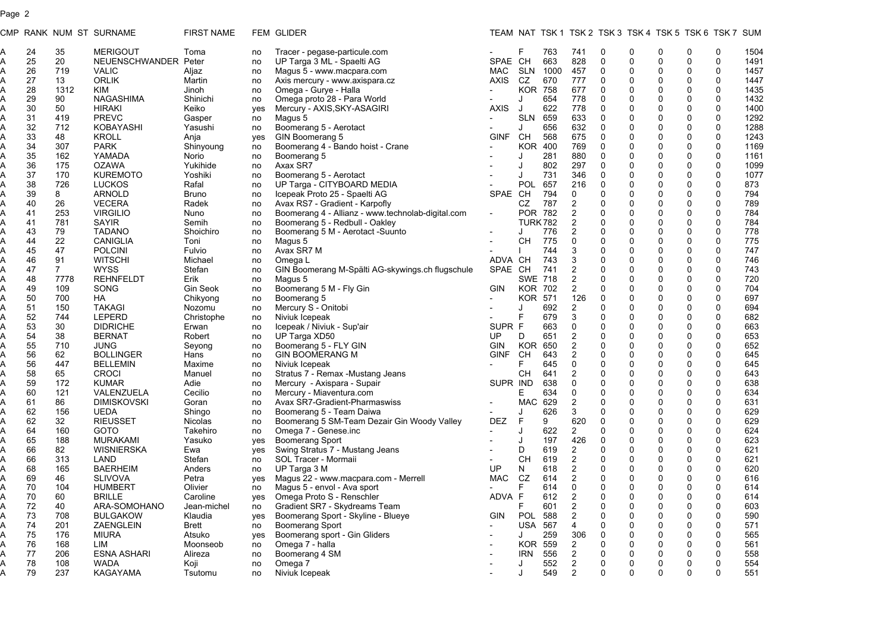## Page 2

|              |        |                | CMP RANK NUM ST SURNAME | <b>FIRST NAME</b> |     | FEM GLIDER                                        |                          |                |      |                |              |             | TEAM NAT TSK 1 TSK 2 TSK 3 TSK 4 TSK 5 TSK 6 TSK 7 SUM |          |             |      |
|--------------|--------|----------------|-------------------------|-------------------|-----|---------------------------------------------------|--------------------------|----------------|------|----------------|--------------|-------------|--------------------------------------------------------|----------|-------------|------|
| A            | 24     | 35             | <b>MERIGOUT</b>         | Toma              | no  | Tracer - pegase-particule.com                     |                          | F              | 763  | 741            | 0            | 0           | 0                                                      | 0        | 0           | 1504 |
| A            | 25     | 20             | NEUENSCHWANDER Peter    |                   | no  | UP Targa 3 ML - Spaelti AG                        | SPAE CH                  |                | 663  | 828            | 0            | 0           | 0                                                      | 0        | 0           | 1491 |
| A            | 26     | 719            | <b>VALIC</b>            | Aljaz             | no  | Magus 5 - www.macpara.com                         | MAC                      | <b>SLN</b>     | 1000 | 457            | 0            | 0           | $\mathbf 0$                                            | 0        | 0           | 1457 |
| A            | 27     | 13             | <b>ORLIK</b>            | Martin            | no  | Axis mercury - www.axispara.cz                    | <b>AXIS</b>              | CZ             | 670  | 777            | 0            | $\mathbf 0$ | 0                                                      | 0        | 0           | 1447 |
| A            | 28     | 1312           | <b>KIM</b>              | Jinoh             | no  | Omega - Gurye - Halla                             |                          | <b>KOR</b>     | 758  | 677            | 0            | 0           | $\mathbf 0$                                            | 0        | 0           | 1435 |
| A            | 29     | 90             | <b>NAGASHIMA</b>        | Shinichi          | no  | Omega proto 28 - Para World                       | $\overline{\phantom{0}}$ | J              | 654  | 778            | 0            | $\mathbf 0$ | $\mathbf 0$                                            | 0        | 0           | 1432 |
| A            | 30     | 50             | <b>HIRAKI</b>           | Keiko             | yes | Mercury - AXIS, SKY-ASAGIRI                       | <b>AXIS</b>              | J              | 622  | 778            | $\mathbf 0$  | $\mathbf 0$ | $\mathbf 0$                                            | 0        | 0           | 1400 |
| A            | 31     | 419            | <b>PREVC</b>            | Gasper            | no  | Magus 5                                           |                          | <b>SLN</b>     | 659  | 633            | 0            | $\Omega$    | $\mathbf 0$                                            | 0        | 0           | 1292 |
| A            | 32     | 712            | KOBAYASHI               | Yasushi           | no  | Boomerang 5 - Aerotact                            |                          | J              | 656  | 632            | $\mathbf 0$  | $\mathbf 0$ | $\Omega$                                               | 0        | 0           | 1288 |
| A            | 33     | 48             | <b>KROLL</b>            | Anja              | yes | GIN Boomerang 5                                   | <b>GINF</b>              | CН             | 568  | 675            | 0            | $\Omega$    | $\mathbf 0$                                            | 0        | 0           | 1243 |
| A            | 34     | 307            | <b>PARK</b>             | Shinyoung         | no  | Boomerang 4 - Bando hoist - Crane                 |                          | <b>KOR</b>     | 400  | 769            | 0            | $\mathbf 0$ | $\mathbf 0$                                            | 0        | 0           | 1169 |
| A            | 35     | 162            | YAMADA                  | Norio             | no  | Boomerang 5                                       |                          | J              | 281  | 880            | 0            | $\Omega$    | $\mathbf 0$                                            | 0        | 0           | 1161 |
| A            | 36     | 175            | <b>OZAWA</b>            | Yukihide          | no  | Axax SR7                                          |                          | J              | 802  | 297            | $\mathbf 0$  | $\mathbf 0$ | $\Omega$                                               | 0        | 0           | 1099 |
| A            | 37     | 170            | <b>KUREMOTO</b>         | Yoshiki           | no  | Boomerang 5 - Aerotact                            |                          | J              | 731  | 346            | $\mathbf 0$  | $\mathbf 0$ | $\mathbf 0$                                            | 0        | 0           | 1077 |
| A            | 38     | 726            | <b>LUCKOS</b>           | Rafal             | no  | UP Targa - CITYBOARD MEDIA                        | $\overline{\phantom{a}}$ | POL            | 657  | 216            | $\mathbf 0$  | $\Omega$    | $\mathbf 0$                                            | 0        | 0           | 873  |
| A            | 39     | 8              | <b>ARNOLD</b>           | <b>Bruno</b>      | no  | Icepeak Proto 25 - Spaelti AG                     | SPAE CH                  |                | 794  | 0              | $\mathbf 0$  | $\mathbf 0$ | 0                                                      | 0        | $\mathbf 0$ | 794  |
| A            | 40     | 26             | <b>VECERA</b>           | Radek             | no  | Avax RS7 - Gradient - Karpofly                    |                          | CZ             | 787  | $\overline{2}$ | $\mathbf{0}$ | $\Omega$    | $\Omega$                                               | 0        | 0           | 789  |
| A            | 41     | 253            | <b>VIRGILIO</b>         | Nuno              | no  | Boomerang 4 - Allianz - www.technolab-digital.com | $\overline{\phantom{a}}$ | POR 782        |      | $\overline{2}$ | $\mathbf 0$  | $\Omega$    | 0                                                      | 0        | $\mathbf 0$ | 784  |
| A            | 41     | 781            | SAYIR                   | Semih             | no  | Boomerang 5 - Redbull - Oakley                    |                          | <b>TURK782</b> |      | $\overline{2}$ | $\mathbf 0$  | $\Omega$    | $\mathbf 0$                                            | 0        | 0           | 784  |
| A            | 43     | 79             | <b>TADANO</b>           | Shoichiro         | no  | Boomerang 5 M - Aerotact -Suunto                  |                          | J              | 776  | $\overline{c}$ | $\mathbf{0}$ | $\Omega$    | $\mathbf 0$                                            | 0        | 0           | 778  |
| A            | 44     | 22             | <b>CANIGLIA</b>         | Toni              | no  | Magus 5                                           |                          | CН             | 775  | 0              | $\mathbf{0}$ | $\Omega$    | $\Omega$                                               | 0        | 0           | 775  |
| A            | 45     | 47             | <b>POLCINI</b>          | Fulvio            | no  | Avax SR7 M                                        |                          |                | 744  | 3              | $\mathbf 0$  | $\Omega$    | $\mathbf 0$                                            | 0        | 0           | 747  |
| A            | 46     | 91             | <b>WITSCHI</b>          | Michael           | no  | Omega L                                           | ADVA CH                  |                | 743  | 3              | $\mathbf{0}$ | $\Omega$    | $\mathbf 0$                                            | 0        | 0           | 746  |
| A            | 47     | $\overline{7}$ | <b>WYSS</b>             | Stefan            | no  | GIN Boomerang M-Spälti AG-skywings.ch flugschule  | SPAE CH                  |                | 741  | 2              | $\mathbf 0$  | $\Omega$    | $\mathbf 0$                                            | 0        | 0           | 743  |
| A            | 48     | 7778           | <b>REHNFELDT</b>        | Erik              | no  | Magus 5                                           |                          | <b>SWE 718</b> |      | 2              | $\Omega$     | $\Omega$    | $\mathbf 0$                                            | 0        | 0           | 720  |
| A            | 49     | 109            | SONG                    | Gin Seok          | no  | Boomerang 5 M - Fly Gin                           | GIN                      | <b>KOR</b>     | 702  | $\overline{2}$ | 0            | $\Omega$    | $\mathbf 0$                                            | 0        | 0           | 704  |
| Ą            | 50     | 700            | HA                      | Chikyong          | no  | Boomerang 5                                       |                          | KOR.           | 571  | 126            | $\mathbf 0$  | $\Omega$    | $\mathbf 0$                                            | 0        | 0           | 697  |
| A            | 51     | 150            | <b>TAKAGI</b>           | Nozomu            | no  | Mercury S - Onitobi                               |                          | J              | 692  | $\overline{2}$ | $\mathbf 0$  | 0           | $\mathbf 0$                                            | 0        | 0           | 694  |
| A            | 52     | 744            | LEPERD                  | Christophe        | no  | Niviuk Icepeak                                    |                          | F              | 679  | 3              | $\mathbf{0}$ | $\mathbf 0$ | $\mathbf 0$                                            | 0        | 0           | 682  |
| A            | 53     | 30             | <b>DIDRICHE</b>         | Erwan             | no  | Icepeak / Niviuk - Sup'air                        | SUPR F                   |                | 663  | 0              | $\mathbf 0$  | $\mathbf 0$ | $\mathbf 0$                                            | 0        | 0           | 663  |
| A            | 54     | 38             | <b>BERNAT</b>           | Robert            | no  | UP Targa XD50                                     | UP.                      | D              | 651  | $\overline{2}$ | $\mathbf 0$  | $\Omega$    | $\mathbf 0$                                            | 0        | 0           | 653  |
| A            | 55     | 710            | JUNG                    | Seyong            | no  | Boomerang 5 - FLY GIN                             | GIN                      | <b>KOR</b>     | 650  | $\overline{c}$ | $\mathbf 0$  | 0           | $\mathbf 0$                                            | 0        | 0           | 652  |
| A            | 56     | 62             | <b>BOLLINGER</b>        | Hans              | no  | <b>GIN BOOMERANG M</b>                            | <b>GINF</b>              | CH             | 643  | $\overline{2}$ | $\mathbf 0$  | $\Omega$    | $\mathbf 0$                                            | 0        | 0           | 645  |
| A,           | 56     | 447            | <b>BELLEMIN</b>         | Maxime            | no  | Niviuk Icepeak                                    |                          | F              | 645  | 0              | $\mathbf 0$  | $\mathbf 0$ | $\mathbf 0$                                            | 0        | 0           | 645  |
| A            | 58     | 65             | <b>CROCI</b>            | Manuel            | no  | Stratus 7 - Remax -Mustang Jeans                  |                          | CН             | 641  | $\overline{2}$ | $\mathbf 0$  | $\mathbf 0$ | $\mathbf 0$                                            | 0        | 0           | 643  |
| A            | 59     | 172            | <b>KUMAR</b>            | Adie              | no  | Mercury - Axispara - Supair                       | SUPR IND                 |                | 638  | $\mathbf 0$    | $\mathbf 0$  | 0           | $\Omega$                                               | 0        | 0           | 638  |
| A            | 60     | 121            | VALENZUELA              | Cecilio           | no  | Mercury - Miaventura.com                          |                          | E.             | 634  | $\mathbf 0$    | $\mathbf 0$  | $\mathbf 0$ | $\Omega$                                               | 0        | 0           | 634  |
| A,           | 61     | 86             | <b>DIMISKOVSKI</b>      | Goran             | no  | Avax SR7-Gradient-Pharmaswiss                     |                          | <b>MAC</b>     | 629  | 2              | $\mathbf 0$  | 0           | $\Omega$                                               | 0        | 0           | 631  |
| A            | 62     | 156            | UEDA                    | Shingo            | no  | Boomerang 5 - Team Daiwa                          |                          | J              | 626  | 3              | $\mathbf 0$  | $\mathbf 0$ | $\mathbf 0$                                            | 0        | $\mathbf 0$ | 629  |
| A,           | 62     | 32             | <b>RIEUSSET</b>         | Nicolas           | no  | Boomerang 5 SM-Team Dezair Gin Woody Valley       | <b>DEZ</b>               | F              | 9    | 620            | $\mathbf 0$  | 0           | $\Omega$                                               | 0        | 0           | 629  |
| A            | 64     | 160            | <b>GOTO</b>             | Takehiro          | no  | Omega 7 - Genese.inc                              |                          | J              | 622  | $\overline{2}$ | 0            | $\mathbf 0$ | 0                                                      | 0        | 0           | 624  |
| A,           | 65     | 188            | <b>MURAKAMI</b>         | Yasuko            | yes | <b>Boomerang Sport</b>                            |                          | J              | 197  | 426            | 0            | 0           | $\mathbf 0$                                            | 0        | 0           | 623  |
| $\mathsf{A}$ | 66     | 82             | <b>WISNIERSKA</b>       | Ewa               | yes | Swing Stratus 7 - Mustang Jeans                   |                          | D              | 619  | $\overline{2}$ | 0            | $\mathbf 0$ | 0                                                      | 0        | 0           | 621  |
| $\mathsf{A}$ | 66     | 313            | LAND                    | Stefan            | no  | SOL Tracer - Mormaii                              |                          | CH             | 619  | $\overline{2}$ | $\mathbf 0$  | 0           | $\mathbf 0$                                            | 0        | 0           | 621  |
| A            | 68     | 165            | <b>BAERHEIM</b>         | Anders            | no  | UP Targa 3 M                                      | UP                       | N              | 618  | $\overline{2}$ | 0            | $\mathbf 0$ | 0                                                      | 0        | 0           | 620  |
| $\mathsf{A}$ | 69     | 46             | <b>SLIVOVA</b>          | Petra             | ves | Magus 22 - www.macpara.com - Merrell              | <b>MAC</b>               | CZ             | 614  | $\overline{2}$ | 0            | 0           | $\mathbf 0$                                            | 0        | 0           | 616  |
| A            | 70     | 104            | <b>HUMBERT</b>          | Olivier           | no  | Magus 5 - envol - Ava sport                       |                          | F.             | 614  | 0              | 0            | 0           | $\mathbf 0$                                            | 0        | 0           | 614  |
|              | $70\,$ | 60             | <b>BRILLE</b>           | Caroline          | yes | Omega Proto S - Renschler                         | ADVA F                   |                | 612  | $\mathcal{P}$  | $\Omega$     | $\Omega$    | $\Omega$                                               | $\Omega$ | $\Omega$    | 614  |
| A            | 72     | 40             | ARA-SOMOHANO            | Jean-michel       | no  | Gradient SR7 - Skydreams Team                     |                          | F.             | 601  | $\overline{c}$ | 0            | $\mathbf 0$ | 0                                                      | 0        | 0           | 603  |
| Ą            | 73     | 708            | <b>BULGAKOW</b>         | Klaudia           | yes | Boomerang Sport - Skyline - Blueye                | <b>GIN</b>               | POL            | 588  | 2              | 0            |             | 0                                                      | 0        | 0           | 590  |
| A            | 74     | 201            | ZAENGLEIN               | <b>Brett</b>      | no  | <b>Boomerang Sport</b>                            |                          | <b>USA</b>     | 567  | 4              | 0            |             | 0                                                      | 0        | 0           | 571  |
| A            | 75     | 176            | <b>MIURA</b>            | Atsuko            | yes | Boomerang sport - Gin Gliders                     |                          | J              | 259  | 306            | 0            |             | $\mathbf 0$                                            | 0        | 0           | 565  |
| A            | 76     | 168            | LIM                     | Moonseob          | no  | Omega 7 - halla                                   |                          | <b>KOR</b>     | 559  | $\overline{2}$ | 0            | U           | $\Omega$                                               | 0        | 0           | 561  |
| A            | 77     | 206            | <b>ESNA ASHARI</b>      | Alireza           | no  | Boomerang 4 SM                                    |                          | <b>IRN</b>     | 556  | $\overline{c}$ | 0            |             | 0                                                      | 0        | 0           | 558  |
| A            | 78     | 108            | <b>WADA</b>             | Koji              | no  | Omega 7                                           |                          | J              | 552  | $\overline{c}$ | 0            | 0           | 0                                                      | 0        | 0           | 554  |
|              | 79     | 237            | KAGAYAMA                | Tsutomu           | no  | Niviuk Icepeak                                    |                          | J              | 549  | $\overline{2}$ | 0            | 0           | 0                                                      | 0        | 0           | 551  |